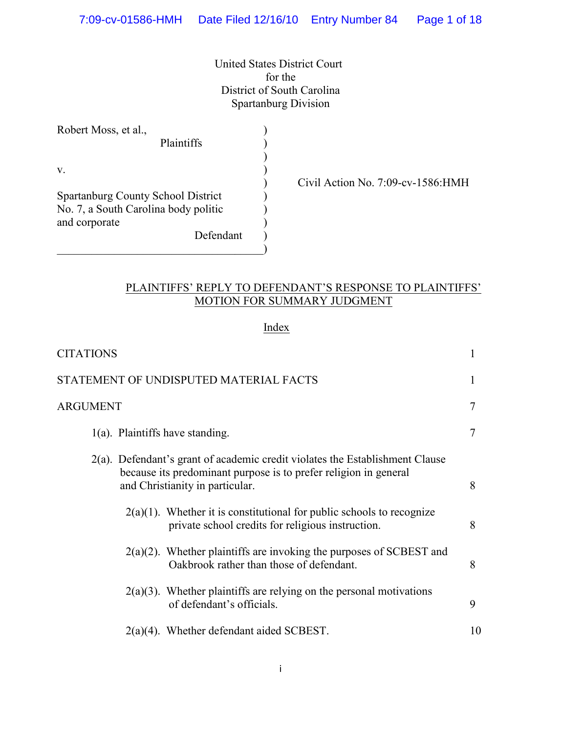United States District Court for the District of South Carolina Spartanburg Division

| Robert Moss, et al.,                                                                               | Plaintiffs |  |
|----------------------------------------------------------------------------------------------------|------------|--|
| V.                                                                                                 |            |  |
| <b>Spartanburg County School District</b><br>No. 7, a South Carolina body politic<br>and corporate | Defendant  |  |

) Civil Action No. 7:09-cv-1586:HMH

# PLAINTIFFS' REPLY TO DEFENDANT'S RESPONSE TO PLAINTIFFS' MOTION FOR SUMMARY JUDGMENT

# Index

| <b>CITATIONS</b>                                                                                                                                                                    |    |
|-------------------------------------------------------------------------------------------------------------------------------------------------------------------------------------|----|
| STATEMENT OF UNDISPUTED MATERIAL FACTS                                                                                                                                              |    |
| <b>ARGUMENT</b>                                                                                                                                                                     | 7  |
| $1(a)$ . Plaintiffs have standing.                                                                                                                                                  | 7  |
| 2(a). Defendant's grant of academic credit violates the Establishment Clause<br>because its predominant purpose is to prefer religion in general<br>and Christianity in particular. | 8  |
| $2(a)(1)$ . Whether it is constitutional for public schools to recognize<br>private school credits for religious instruction.                                                       | 8  |
| $2(a)(2)$ . Whether plaintiffs are invoking the purposes of SCBEST and<br>Oakbrook rather than those of defendant.                                                                  | 8  |
| $2(a)(3)$ . Whether plaintiffs are relying on the personal motivations<br>of defendant's officials.                                                                                 | 9  |
| $2(a)(4)$ . Whether defendant aided SCBEST.                                                                                                                                         | 10 |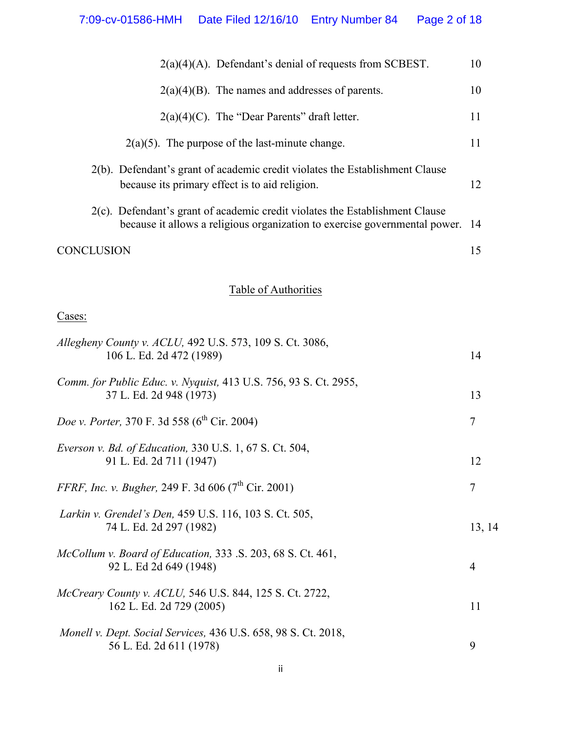| $2(a)(4)(A)$ . Defendant's denial of requests from SCBEST.                                                                                                 | 10 |  |
|------------------------------------------------------------------------------------------------------------------------------------------------------------|----|--|
| $2(a)(4)(B)$ . The names and addresses of parents.                                                                                                         | 10 |  |
| $2(a)(4)(C)$ . The "Dear Parents" draft letter.                                                                                                            | 11 |  |
| $2(a)(5)$ . The purpose of the last-minute change.                                                                                                         | 11 |  |
| 2(b). Defendant's grant of academic credit violates the Establishment Clause<br>because its primary effect is to aid religion.                             | 12 |  |
| 2(c). Defendant's grant of academic credit violates the Establishment Clause<br>because it allows a religious organization to exercise governmental power. | 14 |  |
| <b>CONCLUSION</b>                                                                                                                                          | 15 |  |
| Table of Authorities                                                                                                                                       |    |  |
| Cases:                                                                                                                                                     |    |  |
| Allegheny County v. ACLU, 492 U.S. 573, 109 S. Ct. 3086,<br>106 L. Ed. 2d 472 (1989)                                                                       |    |  |
| Comm. for Public Educ. v. Nyquist, 413 U.S. 756, 93 S. Ct. 2955,<br>37 L. Ed. 2d 948 (1973)                                                                |    |  |
| Doe v. Porter, 370 F. 3d 558 (6 <sup>th</sup> Cir. 2004)                                                                                                   |    |  |
| Everson v. Bd. of Education, 330 U.S. 1, 67 S. Ct. 504,<br>91 L. Ed. 2d 711 (1947)                                                                         |    |  |
| FFRF, Inc. v. Bugher, 249 F. 3d 606 (7 <sup>th</sup> Cir. 2001)                                                                                            | 7  |  |
| Larkin v. Grendel's Den, 459 U.S. 116, 103 S. Ct. 505,<br>74 L. Ed. 2d 297 (1982)                                                                          |    |  |
| McCollum v. Board of Education, 333 .S. 203, 68 S. Ct. 461,<br>92 L. Ed 2d 649 (1948)                                                                      | 4  |  |
| McCreary County v. ACLU, 546 U.S. 844, 125 S. Ct. 2722,<br>162 L. Ed. 2d 729 (2005)                                                                        |    |  |
| Monell v. Dept. Social Services, 436 U.S. 658, 98 S. Ct. 2018,<br>56 L. Ed. 2d 611 (1978)                                                                  | 9  |  |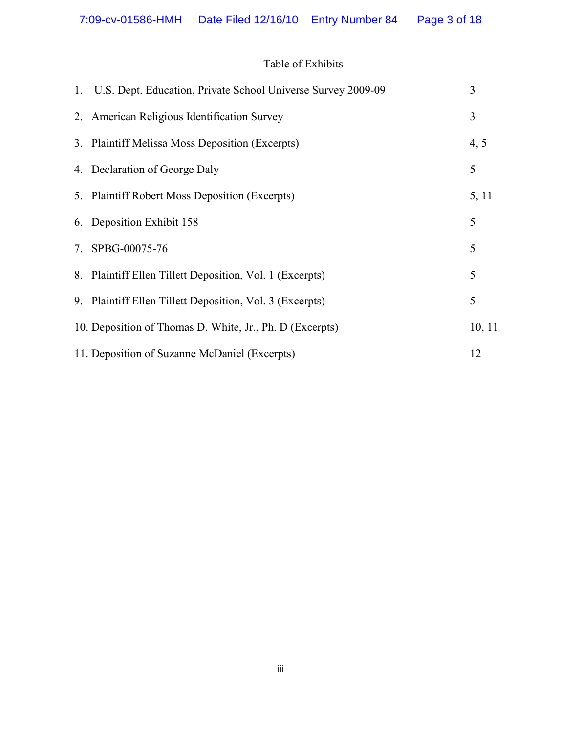# Table of Exhibits

| 1. U.S. Dept. Education, Private School Universe Survey 2009-09 | 3      |
|-----------------------------------------------------------------|--------|
| 2. American Religious Identification Survey                     | 3      |
| 3. Plaintiff Melissa Moss Deposition (Excerpts)                 | 4, 5   |
| 4. Declaration of George Daly                                   | 5      |
| 5. Plaintiff Robert Moss Deposition (Excerpts)                  | 5, 11  |
| 6. Deposition Exhibit 158                                       | 5      |
| 7. SPBG-00075-76                                                | 5      |
| 8. Plaintiff Ellen Tillett Deposition, Vol. 1 (Excerpts)        | 5      |
| 9. Plaintiff Ellen Tillett Deposition, Vol. 3 (Excerpts)        | 5      |
| 10. Deposition of Thomas D. White, Jr., Ph. D (Excerpts)        | 10, 11 |
| 11. Deposition of Suzanne McDaniel (Excerpts)                   | 12     |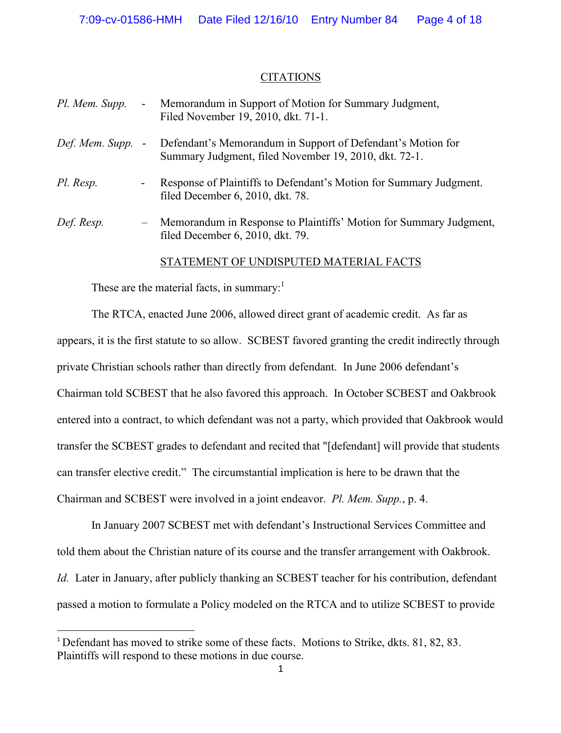#### CITATIONS

| Pl. Mem. Supp.  | $\blacksquare$ | Memorandum in Support of Motion for Summary Judgment,<br>Filed November 19, 2010, dkt. 71-1.                         |
|-----------------|----------------|----------------------------------------------------------------------------------------------------------------------|
| Def. Mem. Supp. | $\blacksquare$ | Defendant's Memorandum in Support of Defendant's Motion for<br>Summary Judgment, filed November 19, 2010, dkt. 72-1. |
| Pl. Resp.       |                | Response of Plaintiffs to Defendant's Motion for Summary Judgment.<br>filed December 6, 2010, dkt. 78.               |
| Def. Resp.      | $-$            | Memorandum in Response to Plaintiffs' Motion for Summary Judgment,<br>filed December 6, 2010, dkt. 79.               |

STATEMENT OF UNDISPUTED MATERIAL FACTS

These are the material facts, in summary: $<sup>1</sup>$ </sup>

The RTCA, enacted June 2006, allowed direct grant of academic credit. As far as appears, it is the first statute to so allow. SCBEST favored granting the credit indirectly through private Christian schools rather than directly from defendant. In June 2006 defendant's Chairman told SCBEST that he also favored this approach. In October SCBEST and Oakbrook entered into a contract, to which defendant was not a party, which provided that Oakbrook would transfer the SCBEST grades to defendant and recited that "[defendant] will provide that students can transfer elective credit." The circumstantial implication is here to be drawn that the Chairman and SCBEST were involved in a joint endeavor. *Pl. Mem. Supp.*, p. 4.

In January 2007 SCBEST met with defendant's Instructional Services Committee and told them about the Christian nature of its course and the transfer arrangement with Oakbrook. *Id.* Later in January, after publicly thanking an SCBEST teacher for his contribution, defendant passed a motion to formulate a Policy modeled on the RTCA and to utilize SCBEST to provide

<sup>1</sup> Defendant has moved to strike some of these facts. Motions to Strike, dkts. 81, 82, 83. Plaintiffs will respond to these motions in due course.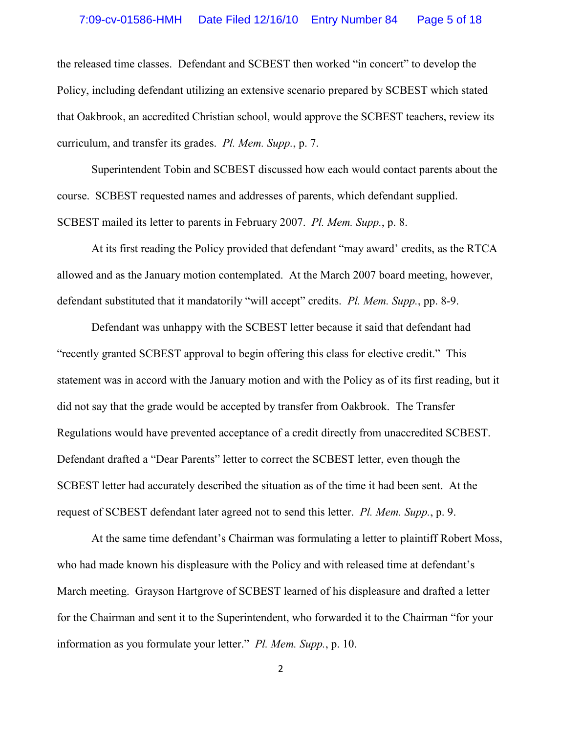#### 7:09-cv-01586-HMH Date Filed 12/16/10 Entry Number 84 Page 5 of 18

the released time classes. Defendant and SCBEST then worked "in concert" to develop the Policy, including defendant utilizing an extensive scenario prepared by SCBEST which stated that Oakbrook, an accredited Christian school, would approve the SCBEST teachers, review its curriculum, and transfer its grades. *Pl. Mem. Supp.*, p. 7.

Superintendent Tobin and SCBEST discussed how each would contact parents about the course. SCBEST requested names and addresses of parents, which defendant supplied. SCBEST mailed its letter to parents in February 2007. *Pl. Mem. Supp.*, p. 8.

At its first reading the Policy provided that defendant "may award' credits, as the RTCA allowed and as the January motion contemplated. At the March 2007 board meeting, however, defendant substituted that it mandatorily "will accept" credits. *Pl. Mem. Supp.*, pp. 8-9.

Defendant was unhappy with the SCBEST letter because it said that defendant had "recently granted SCBEST approval to begin offering this class for elective credit." This statement was in accord with the January motion and with the Policy as of its first reading, but it did not say that the grade would be accepted by transfer from Oakbrook. The Transfer Regulations would have prevented acceptance of a credit directly from unaccredited SCBEST. Defendant drafted a "Dear Parents" letter to correct the SCBEST letter, even though the SCBEST letter had accurately described the situation as of the time it had been sent. At the request of SCBEST defendant later agreed not to send this letter. *Pl. Mem. Supp.*, p. 9.

At the same time defendant's Chairman was formulating a letter to plaintiff Robert Moss, who had made known his displeasure with the Policy and with released time at defendant's March meeting. Grayson Hartgrove of SCBEST learned of his displeasure and drafted a letter for the Chairman and sent it to the Superintendent, who forwarded it to the Chairman "for your information as you formulate your letter." *Pl. Mem. Supp.*, p. 10.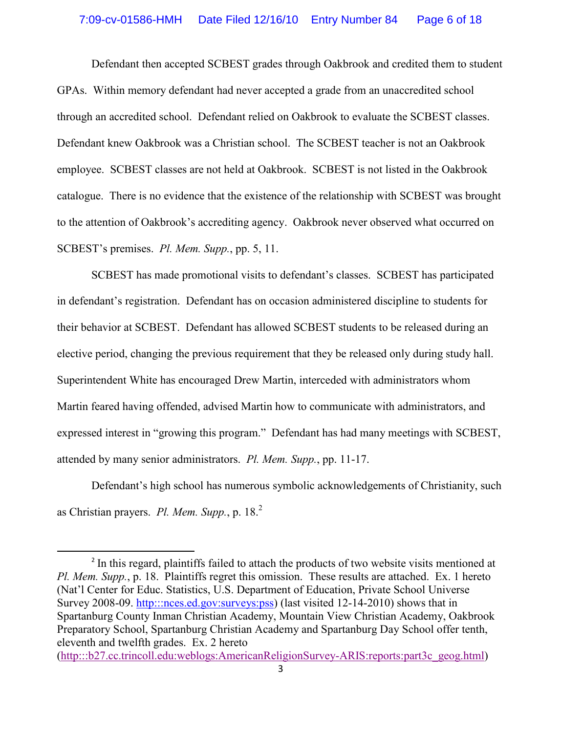Defendant then accepted SCBEST grades through Oakbrook and credited them to student GPAs. Within memory defendant had never accepted a grade from an unaccredited school through an accredited school. Defendant relied on Oakbrook to evaluate the SCBEST classes. Defendant knew Oakbrook was a Christian school. The SCBEST teacher is not an Oakbrook employee. SCBEST classes are not held at Oakbrook. SCBEST is not listed in the Oakbrook catalogue. There is no evidence that the existence of the relationship with SCBEST was brought to the attention of Oakbrook's accrediting agency. Oakbrook never observed what occurred on SCBEST's premises. *Pl. Mem. Supp.*, pp. 5, 11.

SCBEST has made promotional visits to defendant's classes. SCBEST has participated in defendant's registration. Defendant has on occasion administered discipline to students for their behavior at SCBEST. Defendant has allowed SCBEST students to be released during an elective period, changing the previous requirement that they be released only during study hall. Superintendent White has encouraged Drew Martin, interceded with administrators whom Martin feared having offended, advised Martin how to communicate with administrators, and expressed interest in "growing this program." Defendant has had many meetings with SCBEST, attended by many senior administrators. *Pl. Mem. Supp.*, pp. 11-17.

Defendant's high school has numerous symbolic acknowledgements of Christianity, such as Christian prayers. *Pl. Mem. Supp.*, p. 18.<sup>2</sup>

<sup>2</sup> In this regard, plaintiffs failed to attach the products of two website visits mentioned at *Pl. Mem. Supp.*, p. 18. Plaintiffs regret this omission. These results are attached. Ex. 1 hereto (Nat'l Center for Educ. Statistics, U.S. Department of Education, Private School Universe Survey 2008-09. http:::nces.ed.gov:surveys:pss) (last visited 12-14-2010) shows that in Spartanburg County Inman Christian Academy, Mountain View Christian Academy, Oakbrook Preparatory School, Spartanburg Christian Academy and Spartanburg Day School offer tenth, eleventh and twelfth grades. Ex. 2 hereto (http:::b27.cc.trincoll.edu:weblogs:AmericanReligionSurvey-ARIS:reports:part3c\_geog.html)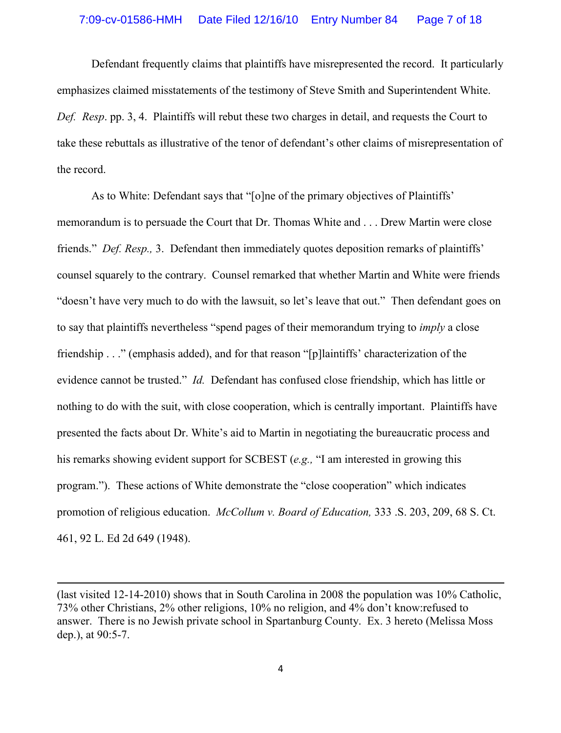Defendant frequently claims that plaintiffs have misrepresented the record. It particularly emphasizes claimed misstatements of the testimony of Steve Smith and Superintendent White. *Def. Resp*. pp. 3, 4. Plaintiffs will rebut these two charges in detail, and requests the Court to take these rebuttals as illustrative of the tenor of defendant's other claims of misrepresentation of the record.

As to White: Defendant says that "[o]ne of the primary objectives of Plaintiffs' memorandum is to persuade the Court that Dr. Thomas White and . . . Drew Martin were close friends." *Def. Resp.,* 3. Defendant then immediately quotes deposition remarks of plaintiffs' counsel squarely to the contrary. Counsel remarked that whether Martin and White were friends "doesn't have very much to do with the lawsuit, so let's leave that out." Then defendant goes on to say that plaintiffs nevertheless "spend pages of their memorandum trying to *imply* a close friendship . . ." (emphasis added), and for that reason "[p]laintiffs' characterization of the evidence cannot be trusted." *Id.* Defendant has confused close friendship, which has little or nothing to do with the suit, with close cooperation, which is centrally important. Plaintiffs have presented the facts about Dr. White's aid to Martin in negotiating the bureaucratic process and his remarks showing evident support for SCBEST (*e.g.,* "I am interested in growing this program."). These actions of White demonstrate the "close cooperation" which indicates promotion of religious education. *McCollum v. Board of Education,* 333 .S. 203, 209, 68 S. Ct. 461, 92 L. Ed 2d 649 (1948).

<sup>(</sup>last visited 12-14-2010) shows that in South Carolina in 2008 the population was 10% Catholic, 73% other Christians, 2% other religions, 10% no religion, and 4% don't know:refused to answer. There is no Jewish private school in Spartanburg County. Ex. 3 hereto (Melissa Moss dep.), at 90:5-7.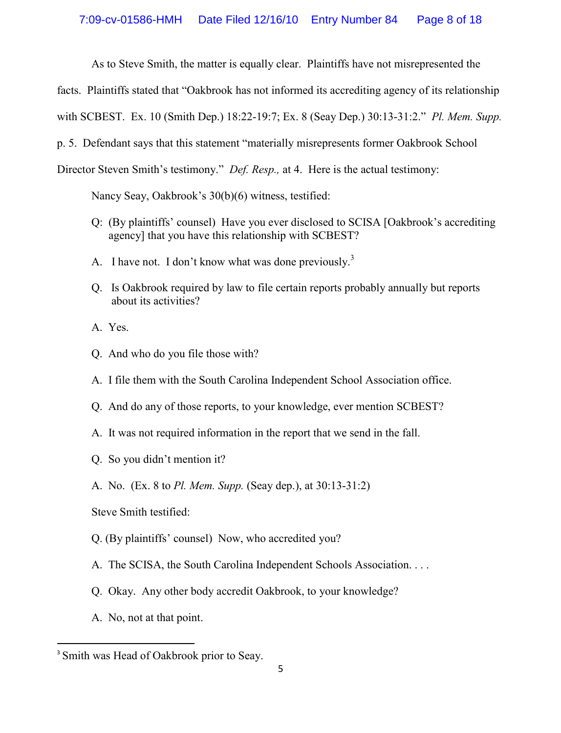As to Steve Smith, the matter is equally clear. Plaintiffs have not misrepresented the

facts. Plaintiffs stated that "Oakbrook has not informed its accrediting agency of its relationship

with SCBEST. Ex. 10 (Smith Dep.) 18:22-19:7; Ex. 8 (Seay Dep.) 30:13-31:2." *Pl. Mem. Supp.*

p. 5. Defendant says that this statement "materially misrepresents former Oakbrook School

Director Steven Smith's testimony." *Def. Resp.,* at 4. Here is the actual testimony:

Nancy Seay, Oakbrook's 30(b)(6) witness, testified:

- Q: (By plaintiffs' counsel) Have you ever disclosed to SCISA [Oakbrook's accrediting agency] that you have this relationship with SCBEST?
- A. I have not. I don't know what was done previously.<sup>3</sup>
- Q. Is Oakbrook required by law to file certain reports probably annually but reports about its activities?

A. Yes.

- Q. And who do you file those with?
- A. I file them with the South Carolina Independent School Association office.
- Q. And do any of those reports, to your knowledge, ever mention SCBEST?
- A. It was not required information in the report that we send in the fall.
- Q. So you didn't mention it?
- A. No. (Ex. 8 to *Pl. Mem. Supp.* (Seay dep.), at 30:13-31:2)

Steve Smith testified:

- Q. (By plaintiffs' counsel) Now, who accredited you?
- A. The SCISA, the South Carolina Independent Schools Association. . . .
- Q. Okay. Any other body accredit Oakbrook, to your knowledge?
- A. No, not at that point.

<sup>&</sup>lt;sup>3</sup> Smith was Head of Oakbrook prior to Seay.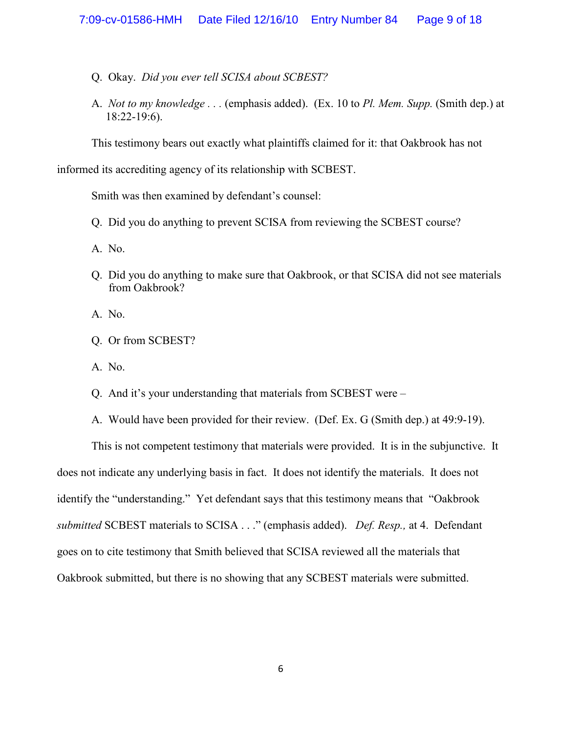- Q. Okay. *Did you ever tell SCISA about SCBEST?*
- A. *Not to my knowledge . . .* (emphasis added). (Ex. 10 to *Pl. Mem. Supp.* (Smith dep.) at 18:22-19:6).

This testimony bears out exactly what plaintiffs claimed for it: that Oakbrook has not

informed its accrediting agency of its relationship with SCBEST.

Smith was then examined by defendant's counsel:

Q. Did you do anything to prevent SCISA from reviewing the SCBEST course?

A. No.

- Q. Did you do anything to make sure that Oakbrook, or that SCISA did not see materials from Oakbrook?
- A. No.
- Q. Or from SCBEST?
- A. No.
- Q. And it's your understanding that materials from SCBEST were –
- A. Would have been provided for their review. (Def. Ex. G (Smith dep.) at 49:9-19).

This is not competent testimony that materials were provided. It is in the subjunctive. It does not indicate any underlying basis in fact. It does not identify the materials. It does not identify the "understanding." Yet defendant says that this testimony means that "Oakbrook *submitted* SCBEST materials to SCISA . . ." (emphasis added). *Def. Resp.,* at 4. Defendant goes on to cite testimony that Smith believed that SCISA reviewed all the materials that Oakbrook submitted, but there is no showing that any SCBEST materials were submitted.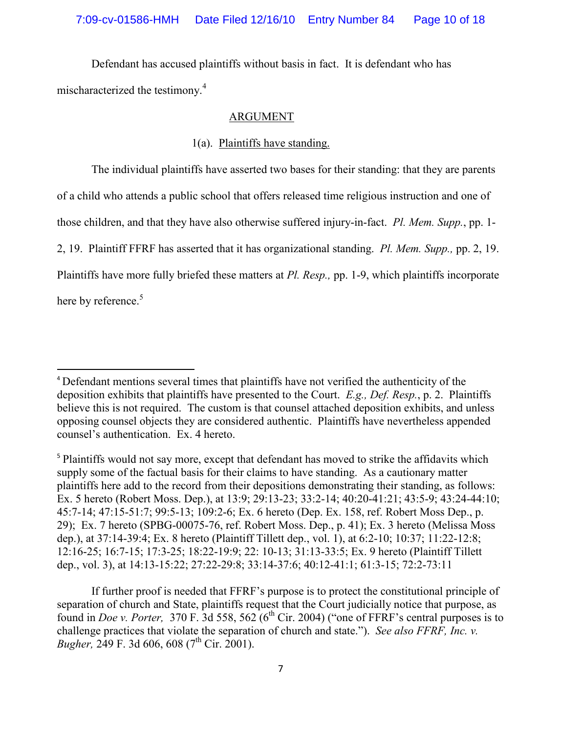Defendant has accused plaintiffs without basis in fact. It is defendant who has mischaracterized the testimony.<sup>4</sup>

#### ARGUMENT

# 1(a). Plaintiffs have standing.

The individual plaintiffs have asserted two bases for their standing: that they are parents of a child who attends a public school that offers released time religious instruction and one of those children, and that they have also otherwise suffered injury-in-fact. *Pl. Mem. Supp.*, pp. 1- 2, 19. Plaintiff FFRF has asserted that it has organizational standing. *Pl. Mem. Supp.,* pp. 2, 19. Plaintiffs have more fully briefed these matters at *Pl. Resp.,* pp. 1-9, which plaintiffs incorporate here by reference.<sup>5</sup>

<sup>5</sup> Plaintiffs would not say more, except that defendant has moved to strike the affidavits which supply some of the factual basis for their claims to have standing. As a cautionary matter plaintiffs here add to the record from their depositions demonstrating their standing, as follows: Ex. 5 hereto (Robert Moss. Dep.), at 13:9; 29:13-23; 33:2-14; 40:20-41:21; 43:5-9; 43:24-44:10; 45:7-14; 47:15-51:7; 99:5-13; 109:2-6; Ex. 6 hereto (Dep. Ex. 158, ref. Robert Moss Dep., p. 29); Ex. 7 hereto (SPBG-00075-76, ref. Robert Moss. Dep., p. 41); Ex. 3 hereto (Melissa Moss dep.), at 37:14-39:4; Ex. 8 hereto (Plaintiff Tillett dep., vol. 1), at 6:2-10; 10:37; 11:22-12:8; 12:16-25; 16:7-15; 17:3-25; 18:22-19:9; 22: 10-13; 31:13-33:5; Ex. 9 hereto (Plaintiff Tillett dep., vol. 3), at 14:13-15:22; 27:22-29:8; 33:14-37:6; 40:12-41:1; 61:3-15; 72:2-73:11

If further proof is needed that FFRF's purpose is to protect the constitutional principle of separation of church and State, plaintiffs request that the Court judicially notice that purpose, as found in *Doe v. Porter*, 370 F. 3d 558, 562 ( $6<sup>th</sup>$  Cir. 2004) ("one of FFRF's central purposes is to challenge practices that violate the separation of church and state."). *See also FFRF, Inc. v. Bugher*, 249 F. 3d 606, 608 (7<sup>th</sup> Cir. 2001).

<sup>4</sup> Defendant mentions several times that plaintiffs have not verified the authenticity of the deposition exhibits that plaintiffs have presented to the Court. *E.g., Def. Resp.*, p. 2. Plaintiffs believe this is not required. The custom is that counsel attached deposition exhibits, and unless opposing counsel objects they are considered authentic. Plaintiffs have nevertheless appended counsel's authentication. Ex. 4 hereto.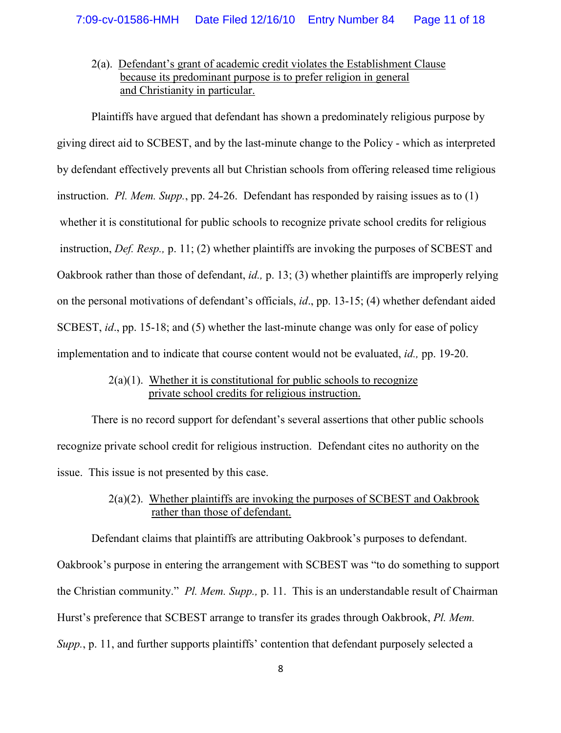# 2(a). Defendant's grant of academic credit violates the Establishment Clause because its predominant purpose is to prefer religion in general and Christianity in particular.

Plaintiffs have argued that defendant has shown a predominately religious purpose by giving direct aid to SCBEST, and by the last-minute change to the Policy - which as interpreted by defendant effectively prevents all but Christian schools from offering released time religious instruction. *Pl. Mem. Supp.*, pp. 24-26. Defendant has responded by raising issues as to (1) whether it is constitutional for public schools to recognize private school credits for religious instruction, *Def. Resp.,* p. 11; (2) whether plaintiffs are invoking the purposes of SCBEST and Oakbrook rather than those of defendant, *id.,* p. 13; (3) whether plaintiffs are improperly relying on the personal motivations of defendant's officials, *id*., pp. 13-15; (4) whether defendant aided SCBEST, *id*., pp. 15-18; and (5) whether the last-minute change was only for ease of policy implementation and to indicate that course content would not be evaluated, *id.,* pp. 19-20.

#### $2(a)(1)$ . Whether it is constitutional for public schools to recognize private school credits for religious instruction.

There is no record support for defendant's several assertions that other public schools recognize private school credit for religious instruction. Defendant cites no authority on the issue. This issue is not presented by this case.

# 2(a)(2). Whether plaintiffs are invoking the purposes of SCBEST and Oakbrook rather than those of defendant.

Defendant claims that plaintiffs are attributing Oakbrook's purposes to defendant.

Oakbrook's purpose in entering the arrangement with SCBEST was "to do something to support the Christian community." *Pl. Mem. Supp.,* p. 11. This is an understandable result of Chairman Hurst's preference that SCBEST arrange to transfer its grades through Oakbrook, *Pl. Mem. Supp.*, p. 11, and further supports plaintiffs' contention that defendant purposely selected a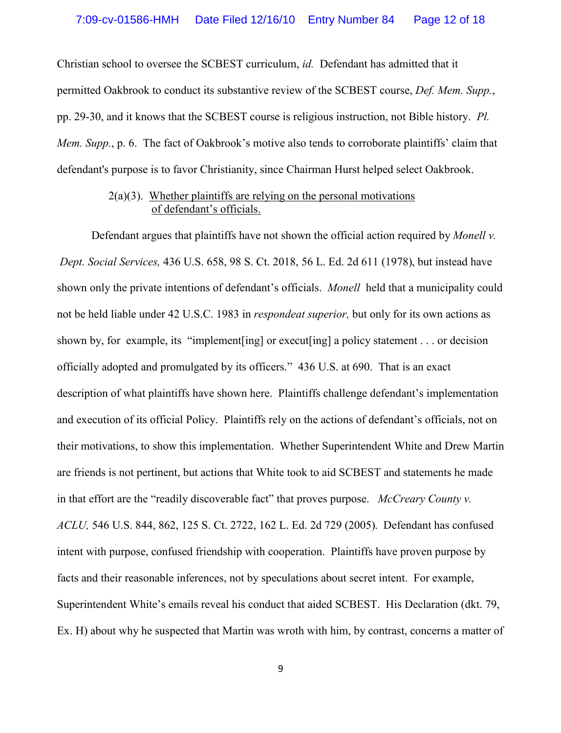Christian school to oversee the SCBEST curriculum, *id.* Defendant has admitted that it permitted Oakbrook to conduct its substantive review of the SCBEST course, *Def. Mem. Supp.*, pp. 29-30, and it knows that the SCBEST course is religious instruction, not Bible history. *Pl. Mem. Supp.*, p. 6. The fact of Oakbrook's motive also tends to corroborate plaintiffs' claim that defendant's purpose is to favor Christianity, since Chairman Hurst helped select Oakbrook.

# $2(a)(3)$ . Whether plaintiffs are relying on the personal motivations of defendant's officials.

Defendant argues that plaintiffs have not shown the official action required by *Monell v. Dept. Social Services,* 436 U.S. 658, 98 S. Ct. 2018, 56 L. Ed. 2d 611 (1978), but instead have shown only the private intentions of defendant's officials. *Monell* held that a municipality could not be held liable under 42 U.S.C. 1983 in *respondeat superior,* but only for its own actions as shown by, for example, its "implement [ing] or execut [ing] a policy statement . . . or decision officially adopted and promulgated by its officers." 436 U.S. at 690. That is an exact description of what plaintiffs have shown here. Plaintiffs challenge defendant's implementation and execution of its official Policy. Plaintiffs rely on the actions of defendant's officials, not on their motivations, to show this implementation. Whether Superintendent White and Drew Martin are friends is not pertinent, but actions that White took to aid SCBEST and statements he made in that effort are the "readily discoverable fact" that proves purpose. *McCreary County v. ACLU,* 546 U.S. 844, 862, 125 S. Ct. 2722, 162 L. Ed. 2d 729 (2005). Defendant has confused intent with purpose, confused friendship with cooperation. Plaintiffs have proven purpose by facts and their reasonable inferences, not by speculations about secret intent. For example, Superintendent White's emails reveal his conduct that aided SCBEST. His Declaration (dkt. 79, Ex. H) about why he suspected that Martin was wroth with him, by contrast, concerns a matter of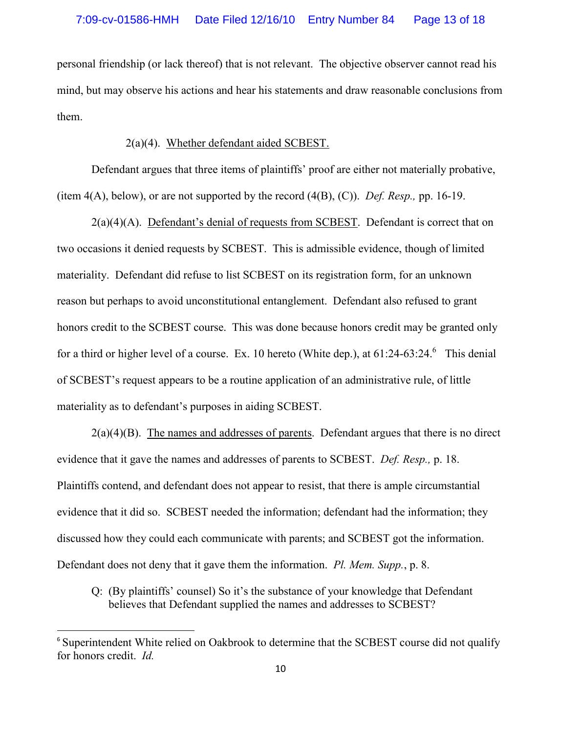personal friendship (or lack thereof) that is not relevant. The objective observer cannot read his mind, but may observe his actions and hear his statements and draw reasonable conclusions from them.

# 2(a)(4). Whether defendant aided SCBEST.

Defendant argues that three items of plaintiffs' proof are either not materially probative, (item 4(A), below), or are not supported by the record (4(B), (C)). *Def. Resp.,* pp. 16-19.

 $2(a)(4)(A)$ . Defendant's denial of requests from SCBEST. Defendant is correct that on two occasions it denied requests by SCBEST. This is admissible evidence, though of limited materiality. Defendant did refuse to list SCBEST on its registration form, for an unknown reason but perhaps to avoid unconstitutional entanglement. Defendant also refused to grant honors credit to the SCBEST course. This was done because honors credit may be granted only for a third or higher level of a course. Ex. 10 hereto (White dep.), at  $61:24-63:24.^6$  This denial of SCBEST's request appears to be a routine application of an administrative rule, of little materiality as to defendant's purposes in aiding SCBEST.

 $2(a)(4)(B)$ . The names and addresses of parents. Defendant argues that there is no direct evidence that it gave the names and addresses of parents to SCBEST. *Def. Resp.,* p. 18. Plaintiffs contend, and defendant does not appear to resist, that there is ample circumstantial evidence that it did so. SCBEST needed the information; defendant had the information; they discussed how they could each communicate with parents; and SCBEST got the information. Defendant does not deny that it gave them the information. *Pl. Mem. Supp.*, p. 8.

Q: (By plaintiffs' counsel) So it's the substance of your knowledge that Defendant believes that Defendant supplied the names and addresses to SCBEST?

<sup>&</sup>lt;sup>6</sup> Superintendent White relied on Oakbrook to determine that the SCBEST course did not qualify for honors credit. *Id.*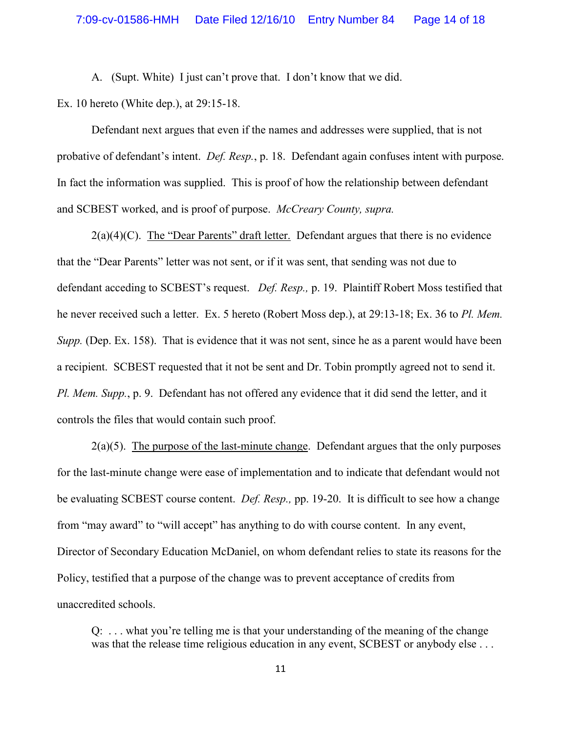A. (Supt. White) I just can't prove that. I don't know that we did.

Ex. 10 hereto (White dep.), at 29:15-18.

Defendant next argues that even if the names and addresses were supplied, that is not probative of defendant's intent. *Def. Resp.*, p. 18. Defendant again confuses intent with purpose. In fact the information was supplied. This is proof of how the relationship between defendant and SCBEST worked, and is proof of purpose. *McCreary County, supra.*

 $2(a)(4)(C)$ . The "Dear Parents" draft letter. Defendant argues that there is no evidence that the "Dear Parents" letter was not sent, or if it was sent, that sending was not due to defendant acceding to SCBEST's request. *Def. Resp.,* p. 19. Plaintiff Robert Moss testified that he never received such a letter. Ex. 5 hereto (Robert Moss dep.), at 29:13-18; Ex. 36 to *Pl. Mem. Supp.* (Dep. Ex. 158). That is evidence that it was not sent, since he as a parent would have been a recipient. SCBEST requested that it not be sent and Dr. Tobin promptly agreed not to send it. *Pl. Mem. Supp.*, p. 9. Defendant has not offered any evidence that it did send the letter, and it controls the files that would contain such proof.

 $2(a)(5)$ . The purpose of the last-minute change. Defendant argues that the only purposes for the last-minute change were ease of implementation and to indicate that defendant would not be evaluating SCBEST course content. *Def. Resp.,* pp. 19-20. It is difficult to see how a change from "may award" to "will accept" has anything to do with course content. In any event, Director of Secondary Education McDaniel, on whom defendant relies to state its reasons for the Policy, testified that a purpose of the change was to prevent acceptance of credits from unaccredited schools.

Q: . . . what you're telling me is that your understanding of the meaning of the change was that the release time religious education in any event, SCBEST or anybody else ...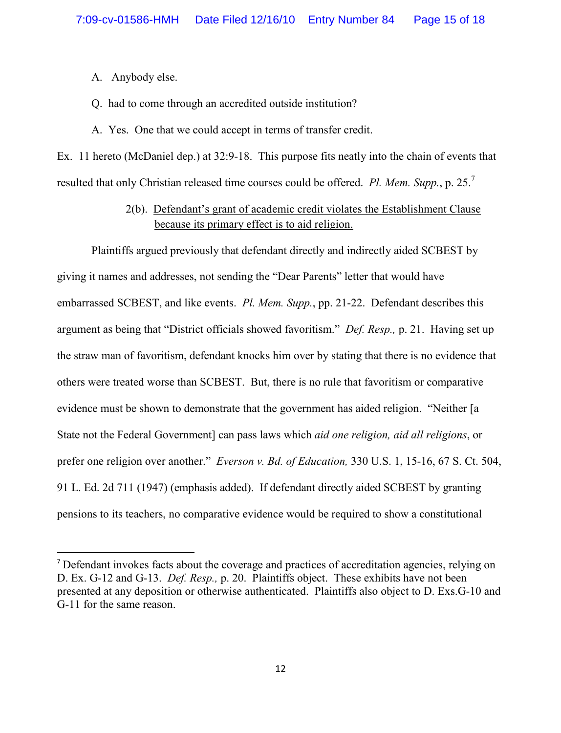- A. Anybody else.
- Q. had to come through an accredited outside institution?
- A. Yes. One that we could accept in terms of transfer credit.

Ex. 11 hereto (McDaniel dep.) at 32:9-18. This purpose fits neatly into the chain of events that resulted that only Christian released time courses could be offered. *Pl. Mem. Supp.*, p. 25. 7

> 2(b). Defendant's grant of academic credit violates the Establishment Clause because its primary effect is to aid religion.

Plaintiffs argued previously that defendant directly and indirectly aided SCBEST by giving it names and addresses, not sending the "Dear Parents" letter that would have embarrassed SCBEST, and like events. *Pl. Mem. Supp.*, pp. 21-22. Defendant describes this argument as being that "District officials showed favoritism." *Def. Resp.,* p. 21. Having set up the straw man of favoritism, defendant knocks him over by stating that there is no evidence that others were treated worse than SCBEST. But, there is no rule that favoritism or comparative evidence must be shown to demonstrate that the government has aided religion. "Neither [a State not the Federal Government] can pass laws which *aid one religion, aid all religions*, or prefer one religion over another." *Everson v. Bd. of Education,* 330 U.S. 1, 15-16, 67 S. Ct. 504, 91 L. Ed. 2d 711 (1947) (emphasis added). If defendant directly aided SCBEST by granting pensions to its teachers, no comparative evidence would be required to show a constitutional

<sup>7</sup> Defendant invokes facts about the coverage and practices of accreditation agencies, relying on D. Ex. G-12 and G-13. *Def. Resp.,* p. 20. Plaintiffs object. These exhibits have not been presented at any deposition or otherwise authenticated. Plaintiffs also object to D. Exs.G-10 and G-11 for the same reason.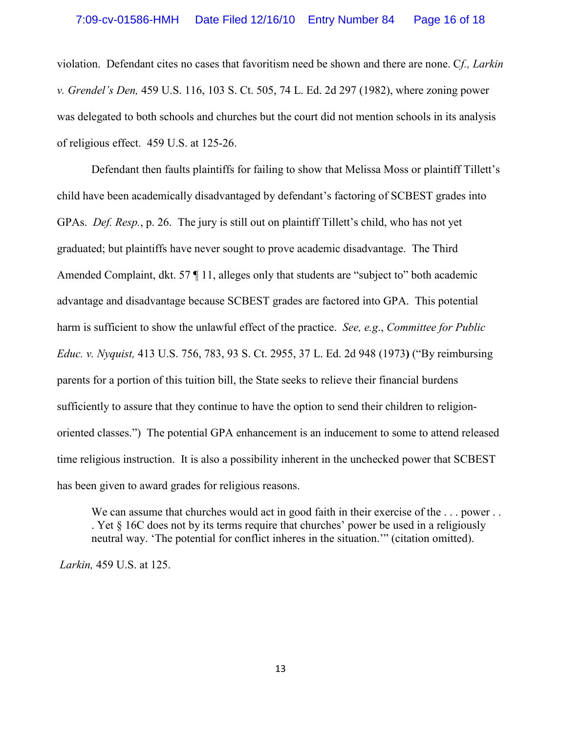violation. Defendant cites no cases that favoritism need be shown and there are none. C*f., Larkin v. Grendel's Den,* 459 U.S. 116, 103 S. Ct. 505, 74 L. Ed. 2d 297 (1982), where zoning power was delegated to both schools and churches but the court did not mention schools in its analysis of religious effect. 459 U.S. at 125-26.

Defendant then faults plaintiffs for failing to show that Melissa Moss or plaintiff Tillett's child have been academically disadvantaged by defendant's factoring of SCBEST grades into GPAs. *Def. Resp.*, p. 26. The jury is still out on plaintiff Tillett's child, who has not yet graduated; but plaintiffs have never sought to prove academic disadvantage. The Third Amended Complaint, dkt. 57  $\P$  11, alleges only that students are "subject to" both academic advantage and disadvantage because SCBEST grades are factored into GPA. This potential harm is sufficient to show the unlawful effect of the practice. *See, e.g*., *Committee for Public Educ. v. Nyquist,* 413 U.S. 756, 783, 93 S. Ct. 2955, 37 L. Ed. 2d 948 (1973**)** ("By reimbursing parents for a portion of this tuition bill, the State seeks to relieve their financial burdens sufficiently to assure that they continue to have the option to send their children to religionoriented classes.") The potential GPA enhancement is an inducement to some to attend released time religious instruction. It is also a possibility inherent in the unchecked power that SCBEST has been given to award grades for religious reasons.

We can assume that churches would act in good faith in their exercise of the ... power... . Yet § 16C does not by its terms require that churches' power be used in a religiously neutral way. 'The potential for conflict inheres in the situation.'" (citation omitted).

*Larkin,* 459 U.S. at 125.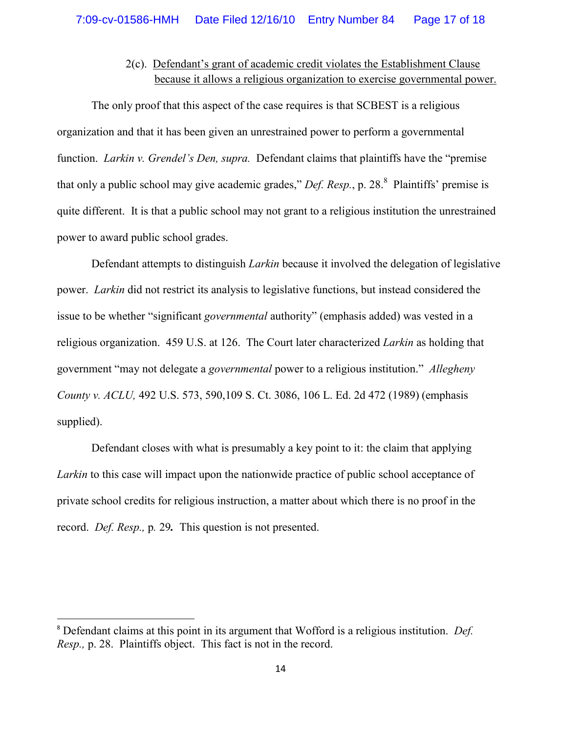# 2(c). Defendant's grant of academic credit violates the Establishment Clause because it allows a religious organization to exercise governmental power.

The only proof that this aspect of the case requires is that SCBEST is a religious organization and that it has been given an unrestrained power to perform a governmental function. *Larkin v. Grendel's Den, supra.* Defendant claims that plaintiffs have the "premise that only a public school may give academic grades," *Def. Resp.*, p. 28. 8 Plaintiffs' premise is quite different. It is that a public school may not grant to a religious institution the unrestrained power to award public school grades.

Defendant attempts to distinguish *Larkin* because it involved the delegation of legislative power. *Larkin* did not restrict its analysis to legislative functions, but instead considered the issue to be whether "significant *governmental* authority" (emphasis added) was vested in a religious organization. 459 U.S. at 126. The Court later characterized *Larkin* as holding that government "may not delegate a *governmental* power to a religious institution." *Allegheny County v. ACLU,* 492 U.S. 573, 590,109 S. Ct. 3086, 106 L. Ed. 2d 472 (1989) (emphasis supplied).

Defendant closes with what is presumably a key point to it: the claim that applying *Larkin* to this case will impact upon the nationwide practice of public school acceptance of private school credits for religious instruction, a matter about which there is no proof in the record. *Def. Resp.,* p*.* 29*.* This question is not presented.

<sup>8</sup> Defendant claims at this point in its argument that Wofford is a religious institution. *Def. Resp.,* p. 28. Plaintiffs object. This fact is not in the record.